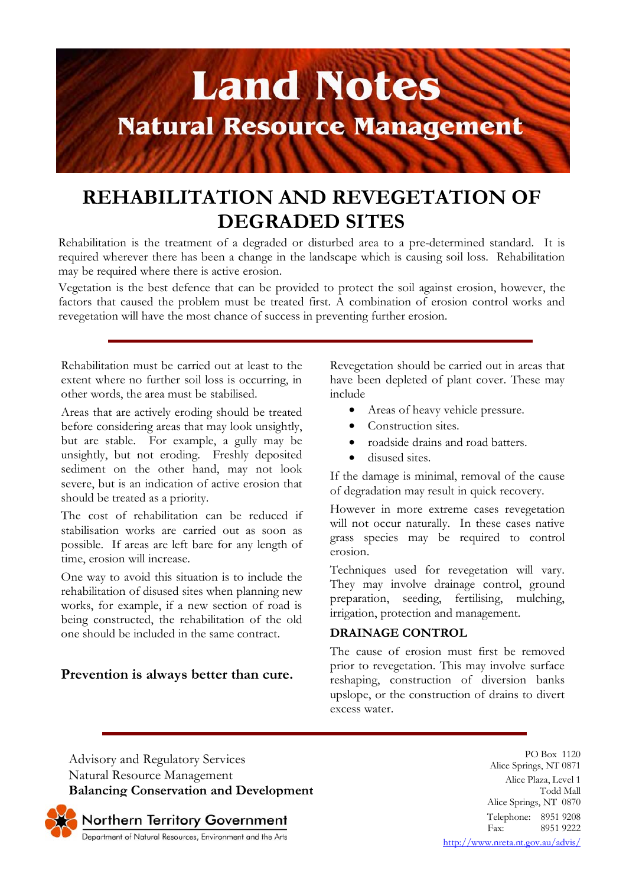

# **REHABILITATION AND REVEGETATION OF DEGRADED SITES**

Rehabilitation is the treatment of a degraded or disturbed area to a pre-determined standard. It is required wherever there has been a change in the landscape which is causing soil loss. Rehabilitation may be required where there is active erosion.

Vegetation is the best defence that can be provided to protect the soil against erosion, however, the factors that caused the problem must be treated first. A combination of erosion control works and revegetation will have the most chance of success in preventing further erosion.

Rehabilitation must be carried out at least to the extent where no further soil loss is occurring, in other words, the area must be stabilised.

Areas that are actively eroding should be treated before considering areas that may look unsightly, but are stable. For example, a gully may be unsightly, but not eroding. Freshly deposited sediment on the other hand, may not look severe, but is an indication of active erosion that should be treated as a priority.

The cost of rehabilitation can be reduced if stabilisation works are carried out as soon as possible. If areas are left bare for any length of time, erosion will increase.

One way to avoid this situation is to include the rehabilitation of disused sites when planning new works, for example, if a new section of road is being constructed, the rehabilitation of the old one should be included in the same contract.

# **Prevention is always better than cure.**

Revegetation should be carried out in areas that have been depleted of plant cover. These may include

- Areas of heavy vehicle pressure.
- Construction sites.
- roadside drains and road batters.
- disused sites.

If the damage is minimal, removal of the cause of degradation may result in quick recovery.

However in more extreme cases revegetation will not occur naturally. In these cases native grass species may be required to control erosion.

Techniques used for revegetation will vary. They may involve drainage control, ground preparation, seeding, fertilising, mulching, irrigation, protection and management.

# **DRAINAGE CONTROL**

The cause of erosion must first be removed prior to revegetation. This may involve surface reshaping, construction of diversion banks upslope, or the construction of drains to divert excess water.

Advisory and Regulatory Services Natural Resource Management **Balancing Conservation and Development**

PO Box 1120 Alice Springs, NT 0871 Alice Plaza, Level 1 Todd Mall Alice Springs, NT 0870 Telephone: 8951 9208<br>Fax: 8951 9222 8951 9222

Northern Territory Government<br>Department of Natural Resources, Environment and the Arts

http://www.nreta.nt.gov.au/advis/